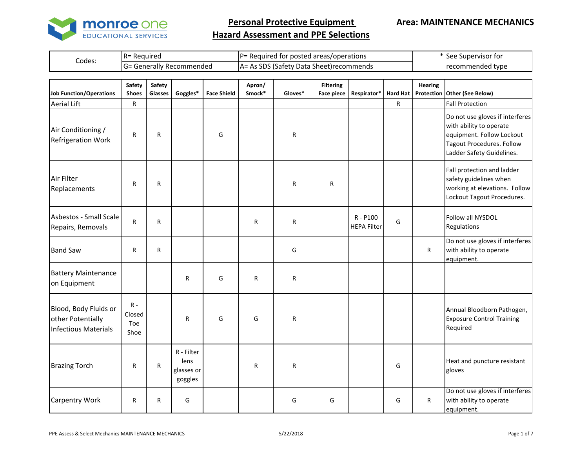

**Area: MAINTENANCE MECHANICS**

|        | -R= Required<br>.                   | IP= Required for posted areas/operations             | See Supervisor for |
|--------|-------------------------------------|------------------------------------------------------|--------------------|
| Codes: | / Recommended<br>Generally<br>I (¬= | SDS<br>.Satety.<br>Data<br>. Sheet)recommends<br>IA= | recommended type   |

| <b>Job Function/Operations</b>                                            | Safety<br><b>Shoes</b>         | <b>Safety</b><br>Glasses | Goggles*                                    | <b>Face Shield</b> | Apron/<br>Smock* | Gloves* | <b>Filtering</b><br><b>Face piece</b> | Respirator*                    | <b>Hard Hat</b> | <b>Hearing</b> | Protection Other (See Below)                                                                                                                             |
|---------------------------------------------------------------------------|--------------------------------|--------------------------|---------------------------------------------|--------------------|------------------|---------|---------------------------------------|--------------------------------|-----------------|----------------|----------------------------------------------------------------------------------------------------------------------------------------------------------|
| <b>Aerial Lift</b>                                                        | R                              |                          |                                             |                    |                  |         |                                       |                                | R               |                | <b>Fall Protection</b>                                                                                                                                   |
| Air Conditioning /<br><b>Refrigeration Work</b>                           | R                              | R                        |                                             | G                  |                  | R       |                                       |                                |                 |                | Do not use gloves if interferes<br>with ability to operate<br>equipment. Follow Lockout<br><b>Tagout Procedures. Follow</b><br>Ladder Safety Guidelines. |
| Air Filter<br>Replacements                                                | R                              | R                        |                                             |                    |                  | R       | R                                     |                                |                 |                | Fall protection and ladder<br>safety guidelines when<br>working at elevations. Follow<br>Lockout Tagout Procedures.                                      |
| Asbestos - Small Scale<br>Repairs, Removals                               | R                              | R                        |                                             |                    | R                | R       |                                       | R - P100<br><b>HEPA Filter</b> | G               |                | Follow all NYSDOL<br>Regulations                                                                                                                         |
| <b>Band Saw</b>                                                           | R                              | R                        |                                             |                    |                  | G       |                                       |                                |                 | R              | Do not use gloves if interferes<br>with ability to operate<br>equipment.                                                                                 |
| <b>Battery Maintenance</b><br>on Equipment                                |                                |                          | R                                           | G                  | R                | R       |                                       |                                |                 |                |                                                                                                                                                          |
| Blood, Body Fluids or<br>other Potentially<br><b>Infectious Materials</b> | $R -$<br>Closed<br>Toe<br>Shoe |                          | R                                           | G                  | G                | R       |                                       |                                |                 |                | Annual Bloodborn Pathogen,<br><b>Exposure Control Training</b><br>Required                                                                               |
| <b>Brazing Torch</b>                                                      | R                              | R                        | R - Filter<br>lens<br>glasses or<br>goggles |                    | R                | R       |                                       |                                | G               |                | Heat and puncture resistant<br>gloves                                                                                                                    |
| <b>Carpentry Work</b>                                                     | R                              | R                        | G                                           |                    |                  | G       | G                                     |                                | G               | R              | Do not use gloves if interferes<br>with ability to operate<br>equipment.                                                                                 |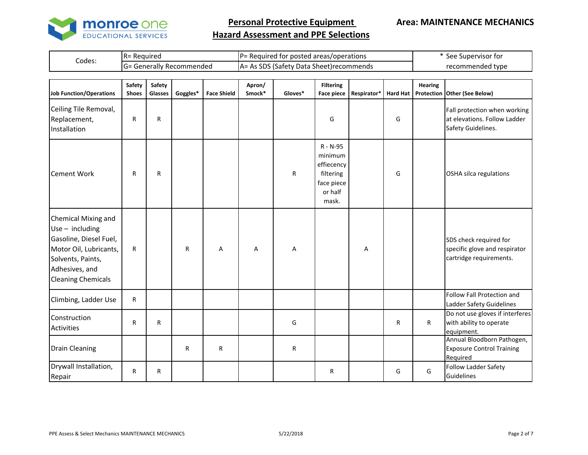

#### **Area: MAINTENANCE MECHANICS**

|        | IR= Required            | IP= Required for posted areas/operations   | See Supervisor for |
|--------|-------------------------|--------------------------------------------|--------------------|
| Codes: | - Generally Recommended | SDS (Safety Data Sheet)recommends<br>A= As | recommended type   |
|        |                         |                                            |                    |

| <b>Job Function/Operations</b>                                                                                                                                   | <b>Safety</b><br><b>Shoes</b> | Safety<br>Glasses | Goggles*     | <b>Face Shield</b> | Apron/<br>Smock* | Gloves* | <b>Filtering</b><br><b>Face piece</b>                                            | Respirator* | <b>Hard Hat</b> | <b>Hearing</b> | Protection Other (See Below)                                                       |
|------------------------------------------------------------------------------------------------------------------------------------------------------------------|-------------------------------|-------------------|--------------|--------------------|------------------|---------|----------------------------------------------------------------------------------|-------------|-----------------|----------------|------------------------------------------------------------------------------------|
| Ceiling Tile Removal,<br>Replacement,<br>Installation                                                                                                            | R                             | R                 |              |                    |                  |         | G                                                                                |             | G               |                | Fall protection when working<br>at elevations. Follow Ladder<br>Safety Guidelines. |
| <b>Cement Work</b>                                                                                                                                               | R                             | R                 |              |                    |                  | R       | R - N-95<br>minimum<br>effiecency<br>filtering<br>face piece<br>or half<br>mask. |             | G               |                | OSHA silca regulations                                                             |
| Chemical Mixing and<br>Use $-$ including<br>Gasoline, Diesel Fuel,<br>Motor Oil, Lubricants,<br>Solvents, Paints,<br>Adhesives, and<br><b>Cleaning Chemicals</b> | R                             |                   | R            | Α                  | Α                | Α       |                                                                                  | Α           |                 |                | SDS check required for<br>specific glove and respirator<br>cartridge requirements. |
| Climbing, Ladder Use                                                                                                                                             | $\mathsf{R}$                  |                   |              |                    |                  |         |                                                                                  |             |                 |                | Follow Fall Protection and<br>Ladder Safety Guidelines                             |
| Construction<br><b>Activities</b>                                                                                                                                | R                             | R                 |              |                    |                  | G       |                                                                                  |             | R               | $\mathsf R$    | Do not use gloves if interferes<br>with ability to operate<br>equipment.           |
| <b>Drain Cleaning</b>                                                                                                                                            |                               |                   | $\mathsf{R}$ | $\mathsf{R}$       |                  | R       |                                                                                  |             |                 |                | Annual Bloodborn Pathogen,<br><b>Exposure Control Training</b><br>Required         |
| Drywall Installation,<br>Repair                                                                                                                                  | R                             | R                 |              |                    |                  |         | R                                                                                |             | G               | G              | Follow Ladder Safety<br>Guidelines                                                 |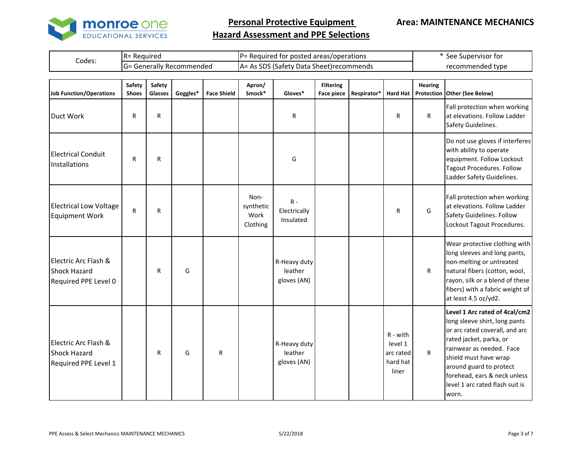

#### **Area: MAINTENANCE MECHANICS**

| ; SDS (Safety Data Sheet)recommends<br>Generally Recommended<br>recommended<br>$A^=$<br>=تاا |        | : Reauired<br>IR= | IP= Required for posted areas/operations | See Supervisor for |
|----------------------------------------------------------------------------------------------|--------|-------------------|------------------------------------------|--------------------|
|                                                                                              | Codes: |                   |                                          | าded tvpe          |

| <b>Job Function/Operations</b>                                      | Safety<br><b>Shoes</b> | Safety<br>Glasses | Goggles* | <b>Face Shield</b> | Apron/<br>Smock*                      | Gloves*                                | <b>Filtering</b><br><b>Face piece</b> | Respirator* | <b>Hard Hat</b>                                         | <b>Hearing</b> | Protection Other (See Below)                                                                                                                                                                                                                                                            |
|---------------------------------------------------------------------|------------------------|-------------------|----------|--------------------|---------------------------------------|----------------------------------------|---------------------------------------|-------------|---------------------------------------------------------|----------------|-----------------------------------------------------------------------------------------------------------------------------------------------------------------------------------------------------------------------------------------------------------------------------------------|
| Duct Work                                                           | R                      | R                 |          |                    |                                       | R                                      |                                       |             | R                                                       | $\mathsf{R}$   | Fall protection when working<br>at elevations. Follow Ladder<br>Safety Guidelines.                                                                                                                                                                                                      |
| <b>Electrical Conduit</b><br>Installations                          | $\mathsf{R}$           | R                 |          |                    |                                       | G                                      |                                       |             |                                                         |                | Do not use gloves if interferes<br>with ability to operate<br>equipment. Follow Lockout<br>Tagout Procedures. Follow<br>Ladder Safety Guidelines.                                                                                                                                       |
| <b>Electrical Low Voltage</b><br><b>Equipment Work</b>              | $\mathsf{R}$           | R                 |          |                    | Non-<br>synthetic<br>Work<br>Clothing | $R -$<br>Electrically<br>Insulated     |                                       |             | R                                                       | G              | Fall protection when working<br>at elevations. Follow Ladder<br>Safety Guidelines. Follow<br>Lockout Tagout Procedures.                                                                                                                                                                 |
| Electric Arc Flash &<br><b>Shock Hazard</b><br>Required PPE Level 0 |                        | R                 | G        |                    |                                       | R-Heavy duty<br>leather<br>gloves (AN) |                                       |             |                                                         | $\mathsf{R}$   | Wear protective clothing with<br>long sleeves and long pants,<br>non-melting or untreated<br>natural fibers (cotton, wool,<br>rayon, silk or a blend of these<br>fibers) with a fabric weight of<br>at least 4.5 oz/yd2.                                                                |
| Electric Arc Flash &<br><b>Shock Hazard</b><br>Required PPE Level 1 |                        | R                 | G        | ${\sf R}$          |                                       | R-Heavy duty<br>leather<br>gloves (AN) |                                       |             | $R - with$<br>level 1<br>arc rated<br>hard hat<br>liner | R.             | Level 1 Arc rated of 4cal/cm2<br>long sleeve shirt, long pants<br>or arc rated coverall, and arc<br>rated jacket, parka, or<br>rainwear as needed. Face<br>shield must have wrap<br>around guard to protect<br>forehead, ears & neck unless<br>level 1 arc rated flash suit is<br>worn. |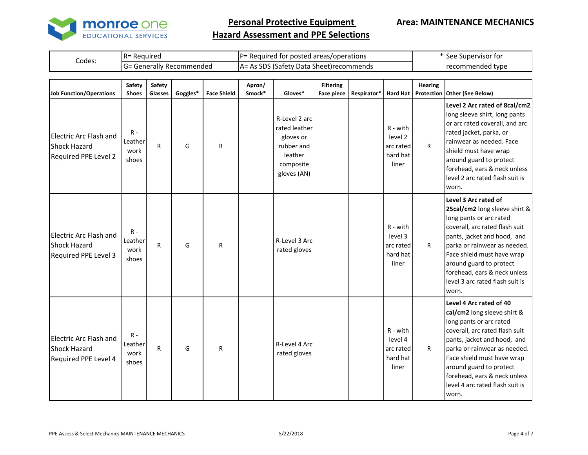

#### **Area: MAINTENANCE MECHANICS**

|        | <b>IR</b> = Required |  |                                   |                                           |  | <b>P</b> = Required for posted areas/operations |                   | * See Supervisor for |  |  |                  |  |
|--------|----------------------|--|-----------------------------------|-------------------------------------------|--|-------------------------------------------------|-------------------|----------------------|--|--|------------------|--|
| Codes: |                      |  | <b>IG</b> = Generally Recommended | A = As SDS (Safety Data Sheet) recommends |  |                                                 |                   |                      |  |  | recommended type |  |
|        |                      |  |                                   |                                           |  |                                                 |                   |                      |  |  |                  |  |
|        | Calabi Calabi        |  |                                   |                                           |  |                                                 | <b>Elliania</b> e | <b>Ilaanisa</b>      |  |  |                  |  |

| Job Function/Operations                                                      | Safety<br><b>Shoes</b>            | Safety<br>Glasses | Goggles* | <b>Face Shield</b> | Apron/<br>Smock* | Gloves*                                                                                          | <b>Filtering</b><br><b>Face piece</b> | Respirator* | <b>Hard Hat</b>                                         | <b>Hearing</b> | Protection Other (See Below)                                                                                                                                                                                                                                                                                            |
|------------------------------------------------------------------------------|-----------------------------------|-------------------|----------|--------------------|------------------|--------------------------------------------------------------------------------------------------|---------------------------------------|-------------|---------------------------------------------------------|----------------|-------------------------------------------------------------------------------------------------------------------------------------------------------------------------------------------------------------------------------------------------------------------------------------------------------------------------|
| <b>Electric Arc Flash and</b><br><b>Shock Hazard</b><br>Required PPE Level 2 | $R -$<br>Leather<br>work<br>shoes | R                 | G        | R                  |                  | R-Level 2 arc<br>rated leather<br>gloves or<br>rubber and<br>leather<br>composite<br>gloves (AN) |                                       |             | $R - with$<br>level 2<br>arc rated<br>hard hat<br>liner | $\mathsf{R}$   | Level 2 Arc rated of 8cal/cm2<br>long sleeve shirt, long pants<br>or arc rated coverall, and arc<br>rated jacket, parka, or<br>rainwear as needed. Face<br>shield must have wrap<br>around guard to protect<br>forehead, ears & neck unless<br>level 2 arc rated flash suit is<br>worn.                                 |
| <b>Electric Arc Flash and</b><br><b>Shock Hazard</b><br>Required PPE Level 3 | $R -$<br>Leather<br>work<br>shoes | R                 | G        | $\mathsf{R}$       |                  | R-Level 3 Arc<br>rated gloves                                                                    |                                       |             | $R - with$<br>level 3<br>arc rated<br>hard hat<br>liner | $\mathsf{R}$   | Level 3 Arc rated of<br>25cal/cm2 long sleeve shirt &<br>long pants or arc rated<br>coverall, arc rated flash suit<br>pants, jacket and hood, and<br>parka or rainwear as needed.<br>Face shield must have wrap<br>around guard to protect<br>forehead, ears & neck unless<br>level 3 arc rated flash suit is<br>worn.  |
| <b>Electric Arc Flash and</b><br><b>Shock Hazard</b><br>Required PPE Level 4 | $R -$<br>Leather<br>work<br>shoes | R                 | G        | R                  |                  | R-Level 4 Arc<br>rated gloves                                                                    |                                       |             | $R - with$<br>level 4<br>arc rated<br>hard hat<br>liner | $\mathsf{R}$   | Level 4 Arc rated of 40<br>cal/cm2 long sleeve shirt &<br>long pants or arc rated<br>coverall, arc rated flash suit<br>pants, jacket and hood, and<br>parka or rainwear as needed.<br>Face shield must have wrap<br>around guard to protect<br>forehead, ears & neck unless<br>level 4 arc rated flash suit is<br>worn. |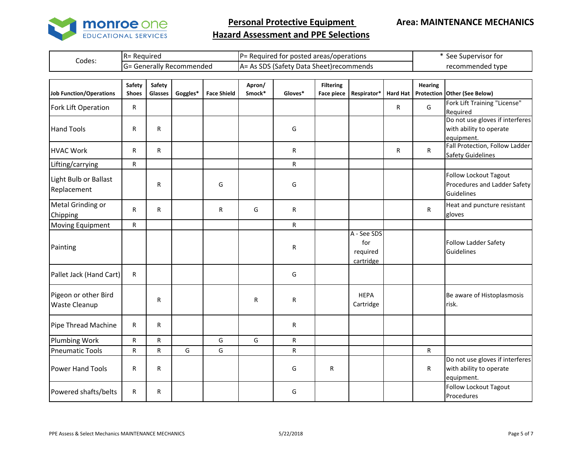

#### **Area: MAINTENANCE MECHANICS**

|       | ID.<br>- Reguirec<br>I N –                    | D-<br>operations/<br>† for posted areas∕t<br>r = Required | rvisor for<br>See<br>. Suber |
|-------|-----------------------------------------------|-----------------------------------------------------------|------------------------------|
| Codes | ' Recomi<br>าmendec<br>erally<br>=ר.) ا<br>л. | cnc<br>. Sheet)recommends<br>Data<br>⊣A*<br>атет:         | tvpe<br>naec                 |

| Job Function/Operations               | Safety<br><b>Shoes</b> | Safety<br>Glasses | Goggles* | <b>Face Shield</b> | Apron/<br>Smock* | Gloves* | <b>Filtering</b><br><b>Face piece</b> | Respirator*                                 | <b>Hard Hat</b> | <b>Hearing</b> | Protection Other (See Below)                                             |
|---------------------------------------|------------------------|-------------------|----------|--------------------|------------------|---------|---------------------------------------|---------------------------------------------|-----------------|----------------|--------------------------------------------------------------------------|
| Fork Lift Operation                   | R.                     |                   |          |                    |                  |         |                                       |                                             | R.              | G              | Fork Lift Training "License"<br>Required                                 |
| <b>Hand Tools</b>                     | R                      | $\mathsf{R}$      |          |                    |                  | G       |                                       |                                             |                 |                | Do not use gloves if interferes<br>with ability to operate               |
| <b>HVAC Work</b>                      | R.                     | R                 |          |                    |                  | R       |                                       |                                             | R               | $\mathsf{R}$   | equipment.<br>Fall Protection, Follow Ladder<br><b>Safety Guidelines</b> |
| Lifting/carrying                      | R                      |                   |          |                    |                  | R       |                                       |                                             |                 |                |                                                                          |
| Light Bulb or Ballast<br>Replacement  |                        | R                 |          | G                  |                  | G       |                                       |                                             |                 |                | Follow Lockout Tagout<br>Procedures and Ladder Safety<br>Guidelines      |
| Metal Grinding or<br>Chipping         | R                      | R                 |          | $\mathsf{R}$       | G                | R       |                                       |                                             |                 | R              | Heat and puncture resistant<br>gloves                                    |
| Moving Equipment                      | R                      |                   |          |                    |                  | R.      |                                       |                                             |                 |                |                                                                          |
| Painting                              |                        |                   |          |                    |                  | R       |                                       | A - See SDS<br>for<br>required<br>cartridge |                 |                | Follow Ladder Safety<br>Guidelines                                       |
| Pallet Jack (Hand Cart)               | R.                     |                   |          |                    |                  | G       |                                       |                                             |                 |                |                                                                          |
| Pigeon or other Bird<br>Waste Cleanup |                        | R                 |          |                    | R                | R       |                                       | <b>HEPA</b><br>Cartridge                    |                 |                | Be aware of Histoplasmosis<br>risk.                                      |
| Pipe Thread Machine                   | R.                     | R                 |          |                    |                  | R       |                                       |                                             |                 |                |                                                                          |
| <b>Plumbing Work</b>                  | R                      | R                 |          | G                  | G                | R       |                                       |                                             |                 |                |                                                                          |
| <b>Pneumatic Tools</b>                | R                      | $\mathsf{R}$      | G        | G                  |                  | R.      |                                       |                                             |                 | $\mathsf{R}$   |                                                                          |
| <b>Power Hand Tools</b>               | R                      | R                 |          |                    |                  | G       | R                                     |                                             |                 | R              | Do not use gloves if interferes<br>with ability to operate<br>equipment. |
| Powered shafts/belts                  | R                      | R                 |          |                    |                  | G       |                                       |                                             |                 |                | <b>Follow Lockout Tagout</b><br>Procedures                               |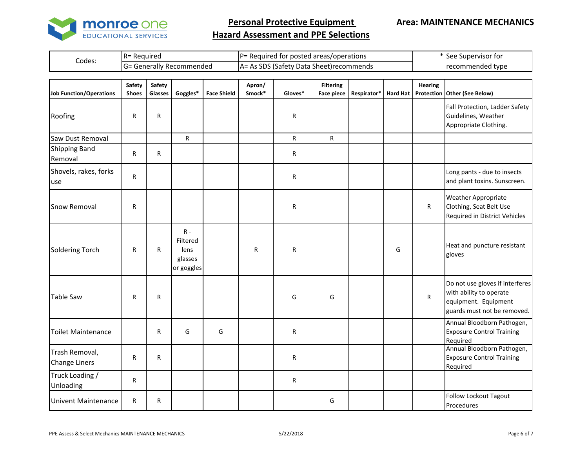

**Area: MAINTENANCE MECHANICS**

| Codes: | <b>IR= Required</b> |  |                           |  |  |  | $P=$ Required for posted areas/operations       |      | * See Supervisor for |                  |               |  |
|--------|---------------------|--|---------------------------|--|--|--|-------------------------------------------------|------|----------------------|------------------|---------------|--|
|        |                     |  | IG= Generally Recommended |  |  |  | <b>JA= As SDS (Safety Data Sheet)recommends</b> |      |                      | recommended type |               |  |
|        |                     |  |                           |  |  |  |                                                 |      |                      |                  |               |  |
|        | .                   |  |                           |  |  |  |                                                 | ____ |                      |                  | $\sim$ $\sim$ |  |

| <b>Job Function/Operations</b>         | Safety<br><b>Shoes</b> | Safety<br>Glasses | Goggles*                                           | <b>Face Shield</b> | Apron/<br>Smock* | Gloves* | <b>Filtering</b><br><b>Face piece</b> | Respirator* | <b>Hard Hat</b> | <b>Hearing</b> | Protection Other (See Below)                                                                                      |
|----------------------------------------|------------------------|-------------------|----------------------------------------------------|--------------------|------------------|---------|---------------------------------------|-------------|-----------------|----------------|-------------------------------------------------------------------------------------------------------------------|
| Roofing                                | R                      | ${\sf R}$         |                                                    |                    |                  | R       |                                       |             |                 |                | Fall Protection, Ladder Safety<br>Guidelines, Weather<br>Appropriate Clothing.                                    |
| Saw Dust Removal                       |                        |                   | $\mathsf{R}$                                       |                    |                  | R       | R                                     |             |                 |                |                                                                                                                   |
| <b>Shipping Band</b><br>Removal        | R                      | $\mathsf{R}$      |                                                    |                    |                  | R       |                                       |             |                 |                |                                                                                                                   |
| Shovels, rakes, forks<br>use           | R                      |                   |                                                    |                    |                  | R       |                                       |             |                 |                | Long pants - due to insects<br>and plant toxins. Sunscreen.                                                       |
| Snow Removal                           | R                      |                   |                                                    |                    |                  | R       |                                       |             |                 | R              | <b>Weather Appropriate</b><br>Clothing, Seat Belt Use<br>Required in District Vehicles                            |
| <b>Soldering Torch</b>                 | R                      | $\mathsf{R}$      | $R -$<br>Filtered<br>lens<br>glasses<br>or goggles |                    | R                | R       |                                       |             | G               |                | Heat and puncture resistant<br>gloves                                                                             |
| <b>Table Saw</b>                       | R                      | $\mathsf{R}$      |                                                    |                    |                  | G       | G                                     |             |                 | $\mathsf R$    | Do not use gloves if interferes<br>with ability to operate<br>equipment. Equipment<br>guards must not be removed. |
| <b>Toilet Maintenance</b>              |                        | $\mathsf{R}$      | G                                                  | G                  |                  | R       |                                       |             |                 |                | Annual Bloodborn Pathogen,<br><b>Exposure Control Training</b><br>Required                                        |
| Trash Removal,<br><b>Change Liners</b> | R                      | ${\sf R}$         |                                                    |                    |                  | R       |                                       |             |                 |                | Annual Bloodborn Pathogen,<br><b>Exposure Control Training</b><br>Required                                        |
| Truck Loading /<br>Unloading           | R                      |                   |                                                    |                    |                  | R       |                                       |             |                 |                |                                                                                                                   |
| <b>Univent Maintenance</b>             | R                      | ${\sf R}$         |                                                    |                    |                  |         | G                                     |             |                 |                | <b>Follow Lockout Tagout</b><br>Procedures                                                                        |